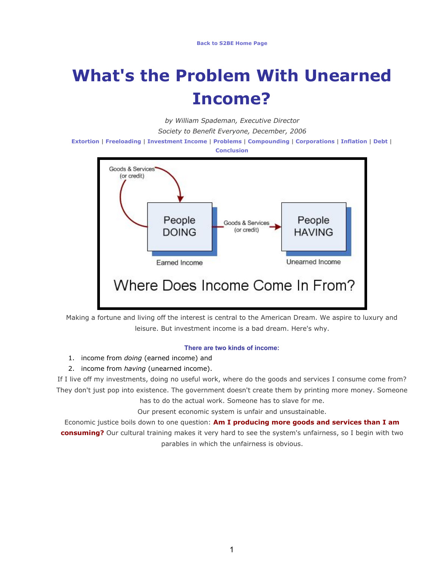# **What's the Problem With Unearned Income?**

*by William Spademan, Executive Director*

*Society to Benefit Everyone, December, 2006*

**[Extortion](http://s2be.org/economicevils.php#extortion)** | **[Freeloading](http://s2be.org/economicevils.php#freeloading)** | **[Investment Income](http://s2be.org/economicevils.php#investment)** | **[Problems](http://s2be.org/economicevils.php#problems)** | **[Compounding](http://s2be.org/economicevils.php#compounding)** | **[Corporations](http://s2be.org/economicevils.php#corporations)** | **[Inflation](http://s2be.org/economicevils.php#inflation)** | **[Debt](http://s2be.org/economicevils.php#debt)** | **[Conclusion](http://s2be.org/economicevils.php#conclusion)**



Making a fortune and living off the interest is central to the American Dream. We aspire to luxury and leisure. But investment income is a bad dream. Here's why.

#### **There are two kinds of income:**

- 1. income from *doing* (earned income) and
- 2. income from *having* (unearned income).

If I live off my investments, doing no useful work, where do the goods and services I consume come from? They don't just pop into existence. The government doesn't create them by printing more money. Someone

has to do the actual work. Someone has to slave for me.

Our present economic system is unfair and unsustainable.

Economic justice boils down to one question: **Am I producing more goods and services than I am consuming?** Our cultural training makes it very hard to see the system's unfairness, so I begin with two parables in which the unfairness is obvious.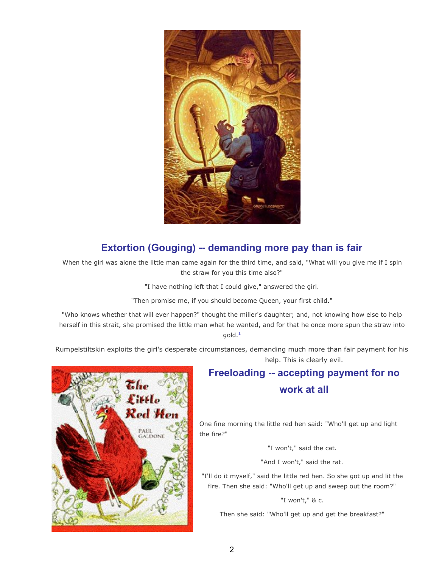

## **Extortion (Gouging) -- demanding more pay than is fair**

When the girl was alone the little man came again for the third time, and said, "What will you give me if I spin the straw for you this time also?"

"I have nothing left that I could give," answered the girl.

"Then promise me, if you should become Queen, your first child."

"Who knows whether that will ever happen?" thought the miller's daughter; and, not knowing how else to help herself in this strait, she promised the little man what he wanted, and for that he once more spun the straw into gold. **[1](http://s2be.org/economicevils.php#ref)**

Rumpelstiltskin exploits the girl's desperate circumstances, demanding much more than fair payment for his help. This is clearly evil.



## **Freeloading -- accepting payment for no work at all**

One fine morning the little red hen said: "Who'll get up and light the fire?"

"I won't," said the cat.

"And I won't," said the rat.

"I'll do it myself," said the little red hen. So she got up and lit the fire. Then she said: "Who'll get up and sweep out the room?"

"I won't," & c.

Then she said: "Who'll get up and get the breakfast?"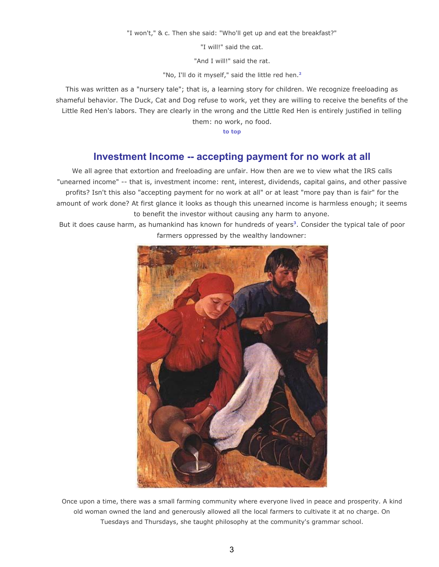"I won't," & c. Then she said: "Who'll get up and eat the breakfast?"

"I will!" said the cat.

"And I will!" said the rat.

"No, I'll do it myself," said the little red hen. **[2](http://s2be.org/economicevils.php#ref)**

This was written as a "nursery tale"; that is, a learning story for children. We recognize freeloading as shameful behavior. The Duck, Cat and Dog refuse to work, yet they are willing to receive the benefits of the Little Red Hen's labors. They are clearly in the wrong and the Little Red Hen is entirely justified in telling them: no work, no food.

**[to top](http://s2be.org/economicevils.php#top)**

#### **Investment Income -- accepting payment for no work at all**

We all agree that extortion and freeloading are unfair. How then are we to view what the IRS calls "unearned income" -- that is, investment income: rent, interest, dividends, capital gains, and other passive profits? Isn't this also "accepting payment for no work at all" or at least "more pay than is fair" for the amount of work done? At first glance it looks as though this unearned income is harmless enough; it seems to benefit the investor without causing any harm to anyone.

But it does cause harm, as humankind has known for hundreds of years**[3](http://s2be.org/economicevils.php#ref)** . Consider the typical tale of poor farmers oppressed by the wealthy landowner:



Once upon a time, there was a small farming community where everyone lived in peace and prosperity. A kind old woman owned the land and generously allowed all the local farmers to cultivate it at no charge. On Tuesdays and Thursdays, she taught philosophy at the community's grammar school.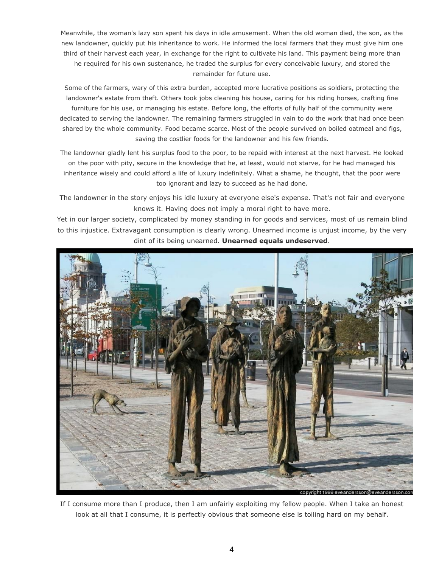Meanwhile, the woman's lazy son spent his days in idle amusement. When the old woman died, the son, as the new landowner, quickly put his inheritance to work. He informed the local farmers that they must give him one third of their harvest each year, in exchange for the right to cultivate his land. This payment being more than he required for his own sustenance, he traded the surplus for every conceivable luxury, and stored the remainder for future use.

Some of the farmers, wary of this extra burden, accepted more lucrative positions as soldiers, protecting the landowner's estate from theft. Others took jobs cleaning his house, caring for his riding horses, crafting fine furniture for his use, or managing his estate. Before long, the efforts of fully half of the community were dedicated to serving the landowner. The remaining farmers struggled in vain to do the work that had once been shared by the whole community. Food became scarce. Most of the people survived on boiled oatmeal and figs, saving the costlier foods for the landowner and his few friends.

The landowner gladly lent his surplus food to the poor, to be repaid with interest at the next harvest. He looked on the poor with pity, secure in the knowledge that he, at least, would not starve, for he had managed his inheritance wisely and could afford a life of luxury indefinitely. What a shame, he thought, that the poor were too ignorant and lazy to succeed as he had done.

The landowner in the story enjoys his idle luxury at everyone else's expense. That's not fair and everyone knows it. Having does not imply a moral right to have more.

Yet in our larger society, complicated by money standing in for goods and services, most of us remain blind to this injustice. Extravagant consumption is clearly wrong. Unearned income is unjust income, by the very dint of its being unearned. **Unearned equals undeserved**.



If I consume more than I produce, then I am unfairly exploiting my fellow people. When I take an honest look at all that I consume, it is perfectly obvious that someone else is toiling hard on my behalf.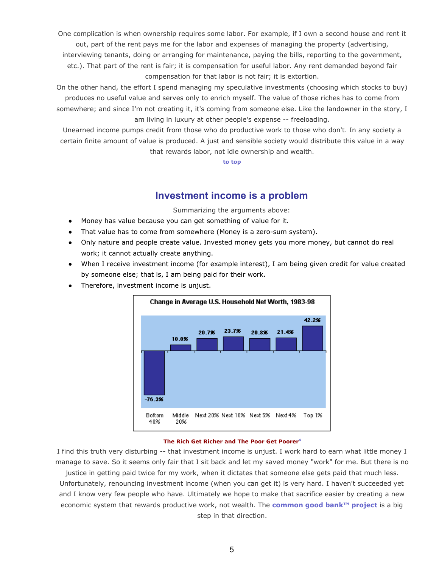One complication is when ownership requires some labor. For example, if I own a second house and rent it out, part of the rent pays me for the labor and expenses of managing the property (advertising,

interviewing tenants, doing or arranging for maintenance, paying the bills, reporting to the government, etc.). That part of the rent is fair; it is compensation for useful labor. Any rent demanded beyond fair compensation for that labor is not fair; it is extortion.

On the other hand, the effort I spend managing my speculative investments (choosing which stocks to buy) produces no useful value and serves only to enrich myself. The value of those riches has to come from somewhere; and since I'm not creating it, it's coming from someone else. Like the landowner in the story, I am living in luxury at other people's expense -- freeloading.

Unearned income pumps credit from those who do productive work to those who don't. In any society a certain finite amount of value is produced. A just and sensible society would distribute this value in a way that rewards labor, not idle ownership and wealth.

**[to top](http://s2be.org/economicevils.php#top)**

## **Investment income is a problem**

Summarizing the arguments above:

- Money has value because you can get something of value for it.
- That value has to come from somewhere (Money is a zero-sum system).
- Only nature and people create value. Invested money gets you more money, but cannot do real work; it cannot actually create anything.
- When I receive investment income (for example interest), I am being given credit for value created by someone else; that is, I am being paid for their work.
- Therefore, investment income is unjust.



#### **The Rich Get Richer and The Poor Get Poorer[4](http://s2be.org/economicevils.php#ref)**

I find this truth very disturbing -- that investment income is unjust. I work hard to earn what little money I manage to save. So it seems only fair that I sit back and let my saved money "work" for me. But there is no justice in getting paid twice for my work, when it dictates that someone else gets paid that much less.

Unfortunately, renouncing investment income (when you can get it) is very hard. I haven't succeeded yet and I know very few people who have. Ultimately we hope to make that sacrifice easier by creating a new economic system that rewards productive work, not wealth. The **[common good bank™ project](http://commongoodbank.com/)** is a big step in that direction.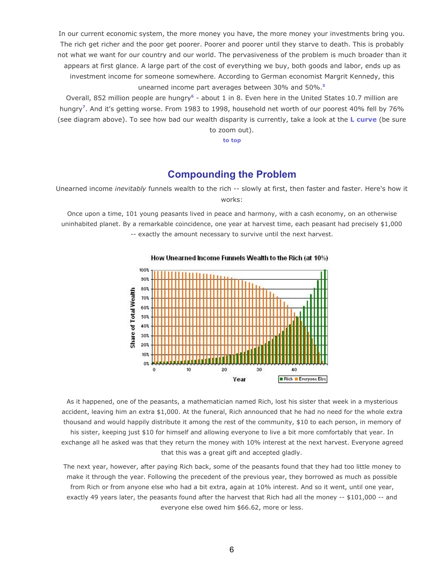In our current economic system, the more money you have, the more money your investments bring you. The rich get richer and the poor get poorer. Poorer and poorer until they starve to death. This is probably not what we want for our country and our world. The pervasiveness of the problem is much broader than it appears at first glance. A large part of the cost of everything we buy, both goods and labor, ends up as investment income for someone somewhere. According to German economist Margrit Kennedy, this unearned income part averages between 30% and 50%.**[5](http://s2be.org/economicevils.php#ref)**

Overall, 852 million people are hungry<sup>[6](http://s2be.org/economicevils.php#ref)</sup> - about 1 in 8. Even here in the United States 10.7 million are hungry**[7](http://s2be.org/economicevils.php#ref)** . And it's getting worse. From 1983 to 1998, household net worth of our poorest 40% fell by 76% (see diagram above). To see how bad our wealth disparity is currently, take a look at the **[L curve](http://lcurve.org/)** (be sure to zoom out).

**[to top](http://s2be.org/economicevils.php#top)**

## **Compounding the Problem**

Unearned income *inevitably* funnels wealth to the rich -- slowly at first, then faster and faster. Here's how it works:

Once upon a time, 101 young peasants lived in peace and harmony, with a cash economy, on an otherwise uninhabited planet. By a remarkable coincidence, one year at harvest time, each peasant had precisely \$1,000 -- exactly the amount necessary to survive until the next harvest.



How Unearned Income Funnels Wealth to the Rich (at 10%)

As it happened, one of the peasants, a mathematician named Rich, lost his sister that week in a mysterious accident, leaving him an extra \$1,000. At the funeral, Rich announced that he had no need for the whole extra thousand and would happily distribute it among the rest of the community, \$10 to each person, in memory of his sister, keeping just \$10 for himself and allowing everyone to live a bit more comfortably that year. In exchange all he asked was that they return the money with 10% interest at the next harvest. Everyone agreed that this was a great gift and accepted gladly.

The next year, however, after paying Rich back, some of the peasants found that they had too little money to make it through the year. Following the precedent of the previous year, they borrowed as much as possible from Rich or from anyone else who had a bit extra, again at 10% interest. And so it went, until one year, exactly 49 years later, the peasants found after the harvest that Rich had all the money -- \$101,000 -- and everyone else owed him \$66.62, more or less.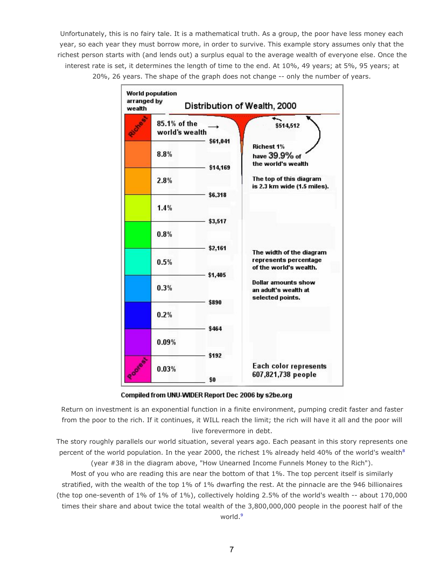Unfortunately, this is no fairy tale. It is a mathematical truth. As a group, the poor have less money each year, so each year they must borrow more, in order to survive. This example story assumes only that the richest person starts with (and lends out) a surplus equal to the average wealth of everyone else. Once the interest rate is set, it determines the length of time to the end. At 10%, 49 years; at 5%, 95 years; at 20%, 26 years. The shape of the graph does not change -- only the number of years.



Compiled from UNU-WIDER Report Dec 2006 by s2be.org

Return on investment is an exponential function in a finite environment, pumping credit faster and faster from the poor to the rich. If it continues, it WILL reach the limit; the rich will have it all and the poor will live forevermore in debt.

The story roughly parallels our world situation, several years ago. Each peasant in this story represents one percent of the world population. In the year 2000, the richest 1% already held 40% of the world's wealth**[8](http://s2be.org/economicevils.php#ref)** (year #38 in the diagram above, "How Unearned Income Funnels Money to the Rich").

Most of you who are reading this are near the bottom of that 1%. The top percent itself is similarly stratified, with the wealth of the top 1% of 1% dwarfing the rest. At the pinnacle are the 946 billionaires (the top one-seventh of 1% of 1% of 1%), collectively holding 2.5% of the world's wealth -- about 170,000 times their share and about twice the total wealth of the 3,800,000,000 people in the poorest half of the world.**[9](http://s2be.org/economicevils.php#ref)**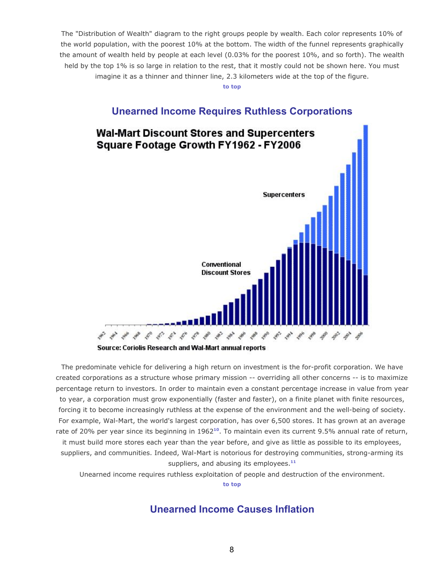The "Distribution of Wealth" diagram to the right groups people by wealth. Each color represents 10% of the world population, with the poorest 10% at the bottom. The width of the funnel represents graphically the amount of wealth held by people at each level (0.03% for the poorest 10%, and so forth). The wealth held by the top 1% is so large in relation to the rest, that it mostly could not be shown here. You must imagine it as a thinner and thinner line, 2.3 kilometers wide at the top of the figure.

**[to top](http://s2be.org/economicevils.php#top)**

#### **Unearned Income Requires Ruthless Corporations**



Source: Coriolis Research and Wal-Mart annual reports

The predominate vehicle for delivering a high return on investment is the for-profit corporation. We have created corporations as a structure whose primary mission -- overriding all other concerns -- is to maximize percentage return to investors. In order to maintain even a constant percentage increase in value from year to year, a corporation must grow exponentially (faster and faster), on a finite planet with finite resources, forcing it to become increasingly ruthless at the expense of the environment and the well-being of society. For example, Wal-Mart, the world's largest corporation, has over 6,500 stores. It has grown at an average rate of 20% per year since its beginning in 1962<sup>[10](http://s2be.org/economicevils.php#ref)</sup>. To maintain even its current 9.5% annual rate of return, it must build more stores each year than the year before, and give as little as possible to its employees, suppliers, and communities. Indeed, Wal-Mart is notorious for destroying communities, strong-arming its suppliers, and abusing its employees.**[11](http://s2be.org/economicevils.php#ref)**

Unearned income requires ruthless exploitation of people and destruction of the environment.

**[to top](http://s2be.org/economicevils.php#top)**

#### **Unearned Income Causes Inflation**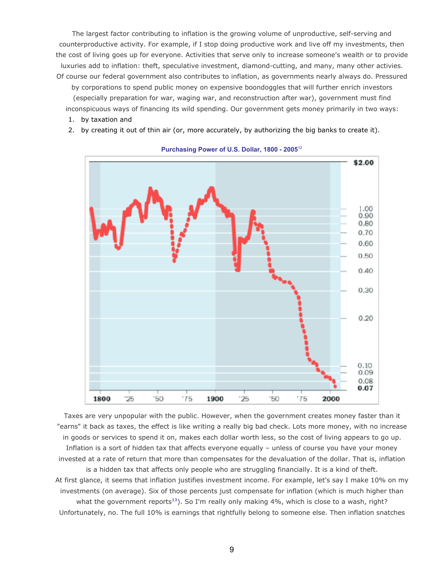The largest factor contributing to inflation is the growing volume of unproductive, self-serving and counterproductive activity. For example, if I stop doing productive work and live off my investments, then the cost of living goes up for everyone. Activities that serve only to increase someone's wealth or to provide luxuries add to inflation: theft, speculative investment, diamond-cutting, and many, many other activies. Of course our federal government also contributes to inflation, as governments nearly always do. Pressured

by corporations to spend public money on expensive boondoggles that will further enrich investors (especially preparation for war, waging war, and reconstruction after war), government must find inconspicuous ways of financing its wild spending. Our government gets money primarily in two ways:

- 1. by taxation and
- 2. by creating it out of thin air (or, more accurately, by authorizing the big banks to create it).



#### **Purchasing Power of U.S. Dollar, 1800 - 2005[12](http://s2be.org/economicevils.php#ref)**

Taxes are very unpopular with the public. However, when the government creates money faster than it "earns" it back as taxes, the effect is like writing a really big bad check. Lots more money, with no increase in goods or services to spend it on, makes each dollar worth less, so the cost of living appears to go up. Inflation is a sort of hidden tax that affects everyone equally – unless of course you have your money invested at a rate of return that more than compensates for the devaluation of the dollar. That is, inflation is a hidden tax that affects only people who are struggling financially. It is a kind of theft. At first glance, it seems that inflation justifies investment income. For example, let's say I make 10% on my investments (on average). Six of those percents just compensate for inflation (which is much higher than what the government reports<sup>[13](http://s2be.org/economicevils.php#ref)</sup>). So I'm really only making 4%, which is close to a wash, right? Unfortunately, no. The full 10% is earnings that rightfully belong to someone else. Then inflation snatches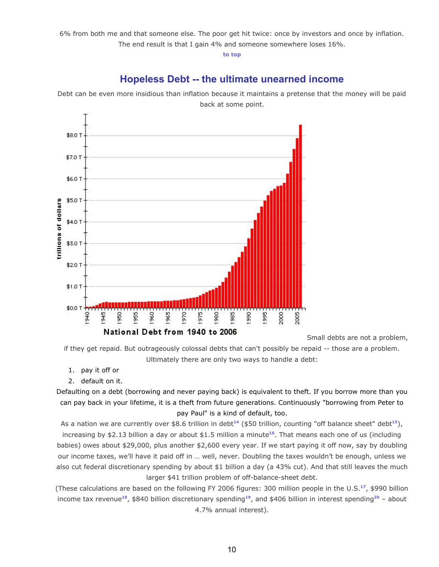6% from both me and that someone else. The poor get hit twice: once by investors and once by inflation. The end result is that I gain 4% and someone somewhere loses 16%.

**[to top](http://s2be.org/economicevils.php#top)**

## **Hopeless Debt -- the ultimate unearned income**

Debt can be even more insidious than inflation because it maintains a pretense that the money will be paid back at some point.



Small debts are not a problem,

if they get repaid. But outrageously colossal debts that can't possibly be repaid -- those are a problem. Ultimately there are only two ways to handle a debt:

- 1. pay it off or
- 2. default on it.

Defaulting on a debt (borrowing and never paying back) is equivalent to theft. If you borrow more than you can pay back in your lifetime, it is a theft from future generations. Continuously "borrowing from Peter to pay Paul" is a kind of default, too.

As a nation we are currently over \$8.6 trillion in debt<sup>[14](http://s2be.org/economicevils.php#ref)</sup> (\$50 trillion, counting "off balance sheet" debt<sup>[15](http://s2be.org/economicevils.php#ref)</sup>), increasing by \$2.13 billion a day or about \$1.5 million a minute**[16](http://s2be.org/economicevils.php#ref)** . That means each one of us (including babies) owes about \$29,000, plus another \$2,600 every year. If we start paying it off now, say by doubling our income taxes, we'll have it paid off in … well, never. Doubling the taxes wouldn't be enough, unless we also cut federal discretionary spending by about \$1 billion a day (a 43% cut). And that still leaves the much larger \$41 trillion problem of off-balance-sheet debt.

(These calculations are based on the following FY 2006 figures: 300 million people in the U.S.**[17](http://s2be.org/economicevils.php#ref)** , \$990 billion income tax revenue**[18](http://s2be.org/economicevils.php#ref)** , \$840 billion discretionary spending**[19](http://s2be.org/economicevils.php#ref)** , and \$406 billion in interest spending**[20](http://s2be.org/economicevils.php#ref)** – about 4.7% annual interest).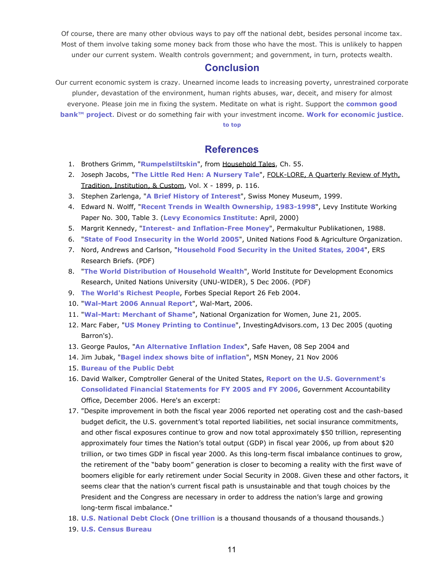Of course, there are many other obvious ways to pay off the national debt, besides personal income tax. Most of them involve taking some money back from those who have the most. This is unlikely to happen under our current system. Wealth controls government; and government, in turn, protects wealth.

#### **Conclusion**

Our current economic system is crazy. Unearned income leads to increasing poverty, unrestrained corporate plunder, devastation of the environment, human rights abuses, war, deceit, and misery for almost everyone. Please join me in fixing the system. Meditate on what is right. Support the **[common good](http://commongoodbank.com/) [bank™ project](http://commongoodbank.com/)**. Divest or do something fair with your investment income. **[Work for economic justice](http://www.debtweek.org/)**.

#### **[to top](http://s2be.org/economicevils.php#top)**

#### **References**

- 1. Brothers Grimm, "**[Rumpelstiltskin](http://etext.library.adelaide.edu.au/g/grimm/g86h/chapter55.html)**", from Household Tales, Ch. 55.
- 2. Joseph Jacobs, "**[The Little Red Hen: A Nursery Tale](http://books.google.com/books?id=iE0KAAAAIAAJ&dq=Joseph+Jacobs,+The+Little+Red+Hen:+&pg=RA1-PA116&ots=oVe16oH12x&sig=0DAzyWlgta1cUbl07WwZ2Ssby10&prev=http://www.google.com/search%3Fhl%3Den%26lr%3D%26client%3Dfirefox-a%26rls%3Dorg.mozilla%253Aen-US%253Aofficial%26hs%3DbiM%26q%3DJoseph%2BJacobs%252C%2BThe%2BLittle%2BRed%2BHen%253A%2B%26btnG%3DSearch&sa=X&oi=print&ct=result&cd=1)**", FOLK-LORE, A Quarterly Review of Myth, Tradition, Institution, & Custom, Vol. X - 1899, p. 116.
- 3. Stephen Zarlenga, "**[A Brief History of Interest](http://www.monetary.org/interest.htm)**", Swiss Money Museum, 1999.
- 4. Edward N. Wolff, "**[Recent Trends in Wealth Ownership, 1983-1998](http://www.levy.org/default.asp?view=publications_view&pubID=f73a204517)**", Levy Institute Working Paper No. 300, Table 3. (**[Levy Economics Institute](http://www.levy.org/)**: April, 2000)
- 5. Margrit Kennedy, "**[Interest- and Inflation-Free Money](http://www.globalideasbank.org/site/bank/idea.php?ideaId=985)**", Permakultur Publikationen, 1988.
- 6. "**[State of Food Insecurity in the World 2005](http://www.fao.org/docrep/008/a0200e/a0200e00.htm)**", United Nations Food & Agriculture Organization.
- 7. Nord, Andrews and Carlson, "**[Household Food Security in the United States, 2004](http://www.ers.usda.gov/publications/err11/err11_reportsummary.pdf)**", ERS Research Briefs. (PDF)
- 8. "**[The World Distribution of Household Wealth](http://www.wider.unu.edu/research/2006-2007/2006-2007-1/wider-wdhw-launch-5-12-2006/wider-wdhw-report-5-12-2006.pdf)**", World Institute for Development Economics Research, United Nations University (UNU-WIDER), 5 Dec 2006. (PDF)
- 9. **[The World's Richest People](http://www.forbes.com/lists/results.jhtml?passListId=10&passYear=2004&passListType=Person&searchParameter1=unset&searchParameter2=unset&resultsStart=1&resultsHowMany=25&resultsSortProperties=%2Bnumberfield1%2C%2Bstringfield2&resultsSortCategoryName=Rank&passKeyword=&category1=category&category2=category)**, Forbes Special Report 26 Feb 2004.
- 10. "**[Wal-Mart 2006 Annual Report](http://www.walmartstores.com/Files/2006_annual_report.pdf)**", Wal-Mart, 2006.
- 11. "**[Wal-Mart: Merchant of Shame](http://s2be.org/economicevils.php)**", National Organization for Women, June 21, 2005.
- 12. Marc Faber, "**[US Money Printing to Continue](http://www.google.com/imgres?imgurl=http://www.investingadvisers.com/articles/images/2005/December05/faber121305_b.gif&imgrefurl=http://www.investingadvisers.com/articles/2005/December05/us_money_printing_to_continue.php&h=466&w=547&sz=17&hl=en&start=91&tbnid=qYD1LLHivk1QAM:&tbnh=113&tbnw=133&prev=/images%3Fq%3Dprinting%2Bmoney%26start%3D80%26ndsp%3D20%26svnum%3D10%26hl%3Den%26lr%3D%26sa%3DN)**", InvestingAdvisors.com, 13 Dec 2005 (quoting Barron's).
- 13. George Paulos, "**[An Alternative Inflation Index](http://www.safehaven.com/article-1942.htm)**", Safe Haven, 08 Sep 2004 and
- 14. Jim Jubak, "**[Bagel index shows bite of inflation](http://articles.moneycentral.msn.com/Investing/JubaksJournal/BagelIndexShowsBiteOfInflation.aspx)**", MSN Money, 21 Nov 2006
- 15. **[Bureau of the Public Debt](http://www.publicdebt.treas.gov/opd/opdpdodt.htm)**
- 16. David Walker, Comptroller General of the United States, **[Report on the U.S. Government's](http://fms.treas.gov/fr/06frusg/06gao2.pdf) [Consolidated Financial Statements for FY 2005 and FY 2006](http://fms.treas.gov/fr/06frusg/06gao2.pdf)**, Government Accountability Office, December 2006. Here's an excerpt:
- 17. "Despite improvement in both the fiscal year 2006 reported net operating cost and the cash-based budget deficit, the U.S. government's total reported liabilities, net social insurance commitments, and other fiscal exposures continue to grow and now total approximately \$50 trillion, representing approximately four times the Nation's total output (GDP) in fiscal year 2006, up from about \$20 trillion, or two times GDP in fiscal year 2000. As this long-term fiscal imbalance continues to grow, the retirement of the "baby boom" generation is closer to becoming a reality with the first wave of boomers eligible for early retirement under Social Security in 2008. Given these and other factors, it seems clear that the nation's current fiscal path is unsustainable and that tough choices by the President and the Congress are necessary in order to address the nation's large and growing long-term fiscal imbalance."
- 18. **[U.S. National Debt Clock](http://www.brillig.com/debt_clock/)** (**[One trillion](http://www.lcurve.org/millbill.htm)** is a thousand thousands of a thousand thousands.)
- 19. **[U.S. Census Bureau](http://www.census.gov/main/www/popclock.html)**